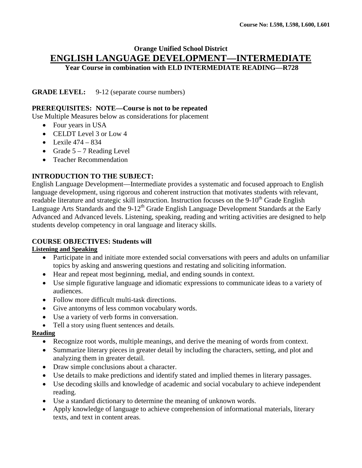## **Orange Unified School District ENGLISH LANGUAGE DEVELOPMENT—INTERMEDIATE Year Course in combination with ELD INTERMEDIATE READING—R728**

**GRADE LEVEL:** 9-12 (separate course numbers)

#### **PREREQUISITES: NOTE—Course is not to be repeated**

Use Multiple Measures below as considerations for placement

- Four years in USA
- CELDT Level 3 or Low 4
- Lexile  $474 834$
- Grade  $5 7$  Reading Level
- Teacher Recommendation

#### **INTRODUCTION TO THE SUBJECT:**

English Language Development—Intermediate provides a systematic and focused approach to English language development, using rigorous and coherent instruction that motivates students with relevant, readable literature and strategic skill instruction. Instruction focuses on the 9-10<sup>th</sup> Grade English Language Arts Standards and the 9-12<sup>th</sup> Grade English Language Development Standards at the Early Advanced and Advanced levels. Listening, speaking, reading and writing activities are designed to help students develop competency in oral language and literacy skills.

## **COURSE OBJECTIVES: Students will**

#### **Listening and Speaking**

- Participate in and initiate more extended social conversations with peers and adults on unfamiliar topics by asking and answering questions and restating and soliciting information.
- Hear and repeat most beginning, medial, and ending sounds in context.
- Use simple figurative language and idiomatic expressions to communicate ideas to a variety of audiences.
- Follow more difficult multi-task directions.
- Give antonyms of less common vocabulary words.
- Use a variety of verb forms in conversation.
- Tell a story using fluent sentences and details.

#### **Reading**

- Recognize root words, multiple meanings, and derive the meaning of words from context.
- Summarize literary pieces in greater detail by including the characters, setting, and plot and analyzing them in greater detail.
- Draw simple conclusions about a character.
- Use details to make predictions and identify stated and implied themes in literary passages.
- Use decoding skills and knowledge of academic and social vocabulary to achieve independent reading.
- Use a standard dictionary to determine the meaning of unknown words.
- Apply knowledge of language to achieve comprehension of informational materials, literary texts, and text in content areas.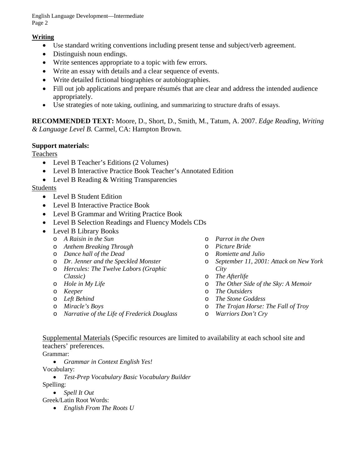English Language Development—Intermediate Page 2

## **Writing**

- Use standard writing conventions including present tense and subject/verb agreement.
- Distinguish noun endings.
- Write sentences appropriate to a topic with few errors.
- Write an essay with details and a clear sequence of events.
- Write detailed fictional biographies or autobiographies.
- Fill out job applications and prepare résumés that are clear and address the intended audience appropriately.
- Use strategies of note taking, outlining, and summarizing to structure drafts of essays.

**RECOMMENDED TEXT:** Moore, D., Short, D., Smith, M., Tatum, A. 2007. *Edge Reading, Writing & Language Level B.* Carmel, CA: Hampton Brown.

## **Support materials:**

Teachers

- Level B Teacher's Editions (2 Volumes)
- Level B Interactive Practice Book Teacher's Annotated Edition
- Level B Reading & Writing Transparencies

## Students

- Level B Student Edition
- Level B Interactive Practice Book
- Level B Grammar and Writing Practice Book
- Level B Selection Readings and Fluency Models CDs
- Level B Library Books
	- o *A Raisin in the Sun*
	- o *Anthem Breaking Through*
	- o *Dance hall of the Dead*
	- o *Dr. Jenner and the Speckled Monster*
	- o *Hercules: The Twelve Labors (Graphic Classic)*
	- o *Hole in My Life*
	- o *Keeper*
	- o *Left Behind*
	- o *Miracle's Boys*
	- o *Narrative of the Life of Frederick Douglass*
- o *Parrot in the Oven*
- o *Picture Bride*
- o *Romiette and Julio*
- o *September 11, 2001: Attack on New York City*
- o *The Afterlife*
- o *The Other Side of the Sky: A Memoir*
- o *The Outsiders*
- o *The Stone Goddess*
- o *The Trojan Horse: The Fall of Troy*
- o *Warriors Don't Cry*

Supplemental Materials (Specific resources are limited to availability at each school site and teachers' preferences.

Grammar:

• *Grammar in Context English Yes!*

Vocabulary:

- *Test-Prep Vocabulary Basic Vocabulary Builder* Spelling:
	- *Spell It Out*

Greek/Latin Root Words:

• *English From The Roots U*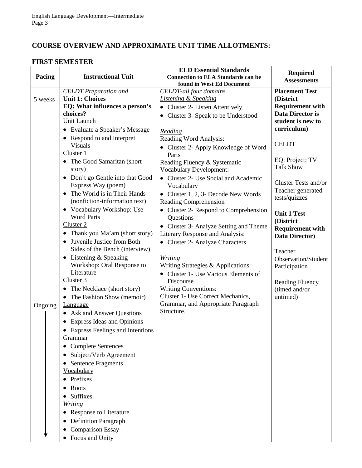# **COURSE OVERVIEW AND APPROXIMATE UNIT TIME ALLOTMENTS:**

#### **FIRST SEMESTER**

|         |                                            | <b>ELD Essential Standards</b>            |                                           |
|---------|--------------------------------------------|-------------------------------------------|-------------------------------------------|
| Pacing  | <b>Instructional Unit</b>                  | <b>Connection to ELA Standards can be</b> | <b>Required</b><br><b>Assessments</b>     |
|         |                                            | found in West Ed Document                 |                                           |
|         | <b>CELDT</b> Preparation and               | <b>CELDT-all four domains</b>             | <b>Placement Test</b>                     |
| 5 weeks | <b>Unit 1: Choices</b>                     | <b>Listening &amp; Speaking</b>           | (District                                 |
|         | EQ: What influences a person's             | • Cluster 2- Listen Attentively           | <b>Requirement with</b>                   |
|         | choices?                                   | • Cluster 3- Speak to be Understood       | Data Director is                          |
|         | Unit Launch                                |                                           | student is new to                         |
|         | • Evaluate a Speaker's Message             | Reading                                   | curriculum)                               |
|         | Respond to and Interpret                   | Reading Word Analysis:                    |                                           |
|         | <b>Visuals</b>                             | • Cluster 2- Apply Knowledge of Word      | <b>CELDT</b>                              |
|         | Cluster 1                                  | Parts                                     |                                           |
|         | The Good Samaritan (short                  | Reading Fluency & Systematic              | EQ: Project: TV<br><b>Talk Show</b>       |
|         | story)                                     | <b>Vocabulary Development:</b>            |                                           |
|         | Don't go Gentle into that Good             | • Cluster 2- Use Social and Academic      |                                           |
|         | Express Way (poem)                         | Vocabulary                                | Cluster Tests and/or<br>Teacher generated |
|         | The World is in Their Hands<br>$\bullet$   | • Cluster 1, 2, 3- Decode New Words       | tests/quizzes                             |
|         | (nonfiction-information text)              | <b>Reading Comprehension</b>              |                                           |
|         | • Vocabulary Workshop: Use                 | Cluster 2- Respond to Comprehension       | <b>Unit 1 Test</b>                        |
|         | <b>Word Parts</b>                          | Questions                                 | (District                                 |
|         | Cluster 2                                  | Cluster 3- Analyze Setting and Theme      | <b>Requirement with</b>                   |
|         | Thank you Ma'am (short story)<br>$\bullet$ | Literary Response and Analysis:           | Data Director)                            |
|         | Juvenile Justice from Both                 | • Cluster 2- Analyze Characters           |                                           |
|         | Sides of the Bench (interview)             |                                           | Teacher                                   |
|         | Listening & Speaking<br>$\bullet$          | <b>Writing</b>                            | Observation/Student                       |
|         | Workshop: Oral Response to                 | Writing Strategies & Applications:        | Participation                             |
|         | Literature                                 | • Cluster 1- Use Various Elements of      |                                           |
|         | Cluster 3                                  | Discourse                                 | <b>Reading Fluency</b>                    |
|         | The Necklace (short story)<br>$\bullet$    | <b>Writing Conventions:</b>               | (timed and/or                             |
|         | The Fashion Show (memoir)                  | Cluster 1- Use Correct Mechanics,         | untimed)                                  |
| Ongoing | <b>Language</b>                            | Grammar, and Appropriate Paragraph        |                                           |
|         | Ask and Answer Questions                   | Structure.                                |                                           |
|         | <b>Express Ideas and Opinions</b>          |                                           |                                           |
|         | <b>Express Feelings and Intentions</b>     |                                           |                                           |
|         | Grammar                                    |                                           |                                           |
|         | <b>Complete Sentences</b><br>$\bullet$     |                                           |                                           |
|         | Subject/Verb Agreement<br>٠                |                                           |                                           |
|         | <b>Sentence Fragments</b>                  |                                           |                                           |
|         | Vocabulary                                 |                                           |                                           |
|         | Prefixes<br>$\bullet$                      |                                           |                                           |
|         | Roots                                      |                                           |                                           |
|         | Suffixes                                   |                                           |                                           |
|         | Writing                                    |                                           |                                           |
|         | Response to Literature                     |                                           |                                           |
|         |                                            |                                           |                                           |
|         | <b>Definition Paragraph</b>                |                                           |                                           |
|         | <b>Comparison Essay</b>                    |                                           |                                           |
|         | Focus and Unity                            |                                           |                                           |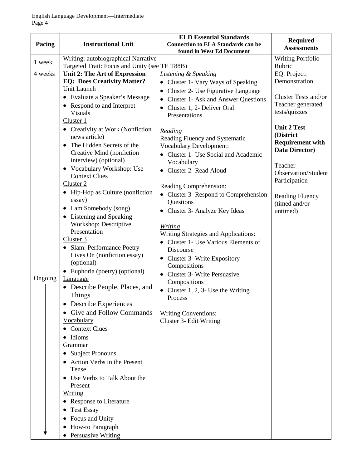| Pacing  | <b>Instructional Unit</b>                                                                                                                                                                                                                                                                                                                                                                                                                                                                                                                                                                                                                                                                                  | <b>ELD Essential Standards</b><br><b>Connection to ELA Standards can be</b><br>found in West Ed Document                                                                                                                                                                                                                                                                                                                                                                 | <b>Required</b><br><b>Assessments</b>                                                                             |
|---------|------------------------------------------------------------------------------------------------------------------------------------------------------------------------------------------------------------------------------------------------------------------------------------------------------------------------------------------------------------------------------------------------------------------------------------------------------------------------------------------------------------------------------------------------------------------------------------------------------------------------------------------------------------------------------------------------------------|--------------------------------------------------------------------------------------------------------------------------------------------------------------------------------------------------------------------------------------------------------------------------------------------------------------------------------------------------------------------------------------------------------------------------------------------------------------------------|-------------------------------------------------------------------------------------------------------------------|
| 1 week  | Writing: autobiographical Narrative<br>Targeted Trait: Focus and Unity (see TE T88B)                                                                                                                                                                                                                                                                                                                                                                                                                                                                                                                                                                                                                       |                                                                                                                                                                                                                                                                                                                                                                                                                                                                          | <b>Writing Portfolio</b><br>Rubric                                                                                |
| 4 weeks | Unit 2: The Art of Expression<br><b>EQ: Does Creativity Matter?</b><br>Unit Launch<br>• Evaluate a Speaker's Message<br>• Respond to and Interpret<br><b>Visuals</b><br>Cluster 1<br>• Creativity at Work (Nonfiction                                                                                                                                                                                                                                                                                                                                                                                                                                                                                      | <b>Listening &amp; Speaking</b><br>Cluster 1- Vary Ways of Speaking<br>$\bullet$<br>Cluster 2- Use Figurative Language<br>$\bullet$<br>Cluster 1- Ask and Answer Questions<br>$\bullet$<br>Cluster 1, 2- Deliver Oral<br>$\bullet$<br>Presentations.<br>Reading                                                                                                                                                                                                          | EQ: Project:<br>Demonstration<br>Cluster Tests and/or<br>Teacher generated<br>tests/quizzes<br><b>Unit 2 Test</b> |
|         | news article)<br>The Hidden Secrets of the<br>$\bullet$<br>Creative Mind (nonfiction<br>interview) (optional)<br>• Vocabulary Workshop: Use<br><b>Context Clues</b><br>Cluster 2                                                                                                                                                                                                                                                                                                                                                                                                                                                                                                                           | Reading Fluency and Systematic<br><b>Vocabulary Development:</b><br>Cluster 1- Use Social and Academic<br>$\bullet$<br>Vocabulary<br>Cluster 2- Read Aloud                                                                                                                                                                                                                                                                                                               | (District<br><b>Requirement with</b><br>Data Director)<br>Teacher<br>Observation/Student<br>Participation         |
| Ongoing | • Hip-Hop as Culture (nonfiction<br>essay)<br>I am Somebody (song)<br>$\bullet$<br>• Listening and Speaking<br>Workshop: Descriptive<br>Presentation<br>Cluster 3<br>• Slam: Performance Poetry<br>Lives On (nonfiction essay)<br>(optional)<br>Euphoria (poetry) (optional)<br>$\bullet$<br>Language<br>• Describe People, Places, and<br>Things<br>Describe Experiences<br>$\bullet$<br>Give and Follow Commands<br>Vocabulary<br><b>Context Clues</b><br>Idioms<br><b>Grammar</b><br>• Subject Pronouns<br>• Action Verbs in the Present<br>Tense<br>• Use Verbs to Talk About the<br>Present<br><b>Writing</b><br>• Response to Literature<br><b>Test Essay</b><br>Focus and Unity<br>How-to Paragraph | Reading Comprehension:<br>Cluster 3- Respond to Comprehension<br>Questions<br>Cluster 3- Analyze Key Ideas<br>$\bullet$<br><b>Writing</b><br><b>Writing Strategies and Applications:</b><br>Cluster 1- Use Various Elements of<br>Discourse<br>Cluster 3- Write Expository<br>$\bullet$<br>Compositions<br><b>Cluster 3- Write Persuasive</b><br>Compositions<br>• Cluster 1, 2, 3- Use the Writing<br>Process<br><b>Writing Conventions:</b><br>Cluster 3- Edit Writing | <b>Reading Fluency</b><br>(timed and/or<br>untimed)                                                               |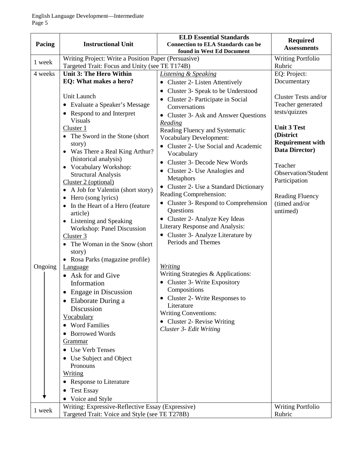| Pacing             | <b>Instructional Unit</b>                                                                                                                                                                                                                                                                                                                                                                                                                                                                                                                                                                                                                                                                                                                                                                                                                                                                                                                                                                        | <b>ELD Essential Standards</b><br><b>Connection to ELA Standards can be</b><br>found in West Ed Document                                                                                                                                                                                                                                                                                                                                                                                                                                                                                                                                                                                                                                                                                                                                                                                                                                     | <b>Required</b><br><b>Assessments</b>                                                                                                                                                                                                                                                       |
|--------------------|--------------------------------------------------------------------------------------------------------------------------------------------------------------------------------------------------------------------------------------------------------------------------------------------------------------------------------------------------------------------------------------------------------------------------------------------------------------------------------------------------------------------------------------------------------------------------------------------------------------------------------------------------------------------------------------------------------------------------------------------------------------------------------------------------------------------------------------------------------------------------------------------------------------------------------------------------------------------------------------------------|----------------------------------------------------------------------------------------------------------------------------------------------------------------------------------------------------------------------------------------------------------------------------------------------------------------------------------------------------------------------------------------------------------------------------------------------------------------------------------------------------------------------------------------------------------------------------------------------------------------------------------------------------------------------------------------------------------------------------------------------------------------------------------------------------------------------------------------------------------------------------------------------------------------------------------------------|---------------------------------------------------------------------------------------------------------------------------------------------------------------------------------------------------------------------------------------------------------------------------------------------|
| 1 week             | Writing Project: Write a Position Paper (Persuasive)<br>Targeted Trait: Focus and Unity (see TE T174B)                                                                                                                                                                                                                                                                                                                                                                                                                                                                                                                                                                                                                                                                                                                                                                                                                                                                                           |                                                                                                                                                                                                                                                                                                                                                                                                                                                                                                                                                                                                                                                                                                                                                                                                                                                                                                                                              | <b>Writing Portfolio</b><br>Rubric                                                                                                                                                                                                                                                          |
| 4 weeks<br>Ongoing | Unit 3: The Hero Within<br>EQ: What makes a hero?<br>Unit Launch<br>Evaluate a Speaker's Message<br>$\bullet$<br>Respond to and Interpret<br><b>Visuals</b><br>Cluster 1<br>• The Sword in the Stone (short)<br>story)<br>• Was There a Real King Arthur?<br>(historical analysis)<br>• Vocabulary Workshop:<br><b>Structural Analysis</b><br>Cluster 2 (optional)<br>• A Job for Valentin (short story)<br>Hero (song lyrics)<br>In the Heart of a Hero (feature<br>$\bullet$<br>article)<br>Listening and Speaking<br>$\bullet$<br>Workshop: Panel Discussion<br>Cluster 3<br>The Woman in the Snow (short)<br>story)<br>Rosa Parks (magazine profile)<br>Language<br>• Ask for and Give<br>Information<br>Engage in Discussion<br>$\bullet$<br>• Elaborate During a<br>Discussion<br>Vocabulary<br>• Word Families<br><b>Borrowed Words</b><br><b>Grammar</b><br><b>Use Verb Tenses</b><br>Use Subject and Object<br>Pronouns<br><u>Writing</u><br><b>Response to Literature</b><br>$\bullet$ | <b>Listening &amp; Speaking</b><br>• Cluster 2- Listen Attentively<br>Cluster 3- Speak to be Understood<br>Cluster 2- Participate in Social<br>Conversations<br>• Cluster 3- Ask and Answer Questions<br><b>Reading</b><br>Reading Fluency and Systematic<br><b>Vocabulary Development:</b><br>Cluster 2- Use Social and Academic<br>Vocabulary<br><b>Cluster 3- Decode New Words</b><br>Cluster 2- Use Analogies and<br>Metaphors<br>• Cluster 2- Use a Standard Dictionary<br>Reading Comprehension:<br>Cluster 3- Respond to Comprehension<br>Questions<br>• Cluster 2- Analyze Key Ideas<br>Literary Response and Analysis:<br>• Cluster 3- Analyze Literature by<br>Periods and Themes<br><i>Writing</i><br>Writing Strategies & Applications:<br>• Cluster 3- Write Expository<br>Compositions<br>Cluster 2- Write Responses to<br>Literature<br><b>Writing Conventions:</b><br>• Cluster 2- Revise Writing<br>Cluster 3- Edit Writing | EQ: Project:<br>Documentary<br>Cluster Tests and/or<br>Teacher generated<br>tests/quizzes<br><b>Unit 3 Test</b><br>(District)<br><b>Requirement with</b><br>Data Director)<br>Teacher<br><b>Observation/Student</b><br>Participation<br><b>Reading Fluency</b><br>(timed and/or<br>untimed) |
|                    | <b>Test Essay</b><br>Voice and Style                                                                                                                                                                                                                                                                                                                                                                                                                                                                                                                                                                                                                                                                                                                                                                                                                                                                                                                                                             |                                                                                                                                                                                                                                                                                                                                                                                                                                                                                                                                                                                                                                                                                                                                                                                                                                                                                                                                              |                                                                                                                                                                                                                                                                                             |
| 1 week             | Writing: Expressive-Reflective Essay (Expressive)<br>Targeted Trait: Voice and Style (see TE T278B)                                                                                                                                                                                                                                                                                                                                                                                                                                                                                                                                                                                                                                                                                                                                                                                                                                                                                              |                                                                                                                                                                                                                                                                                                                                                                                                                                                                                                                                                                                                                                                                                                                                                                                                                                                                                                                                              | <b>Writing Portfolio</b><br>Rubric                                                                                                                                                                                                                                                          |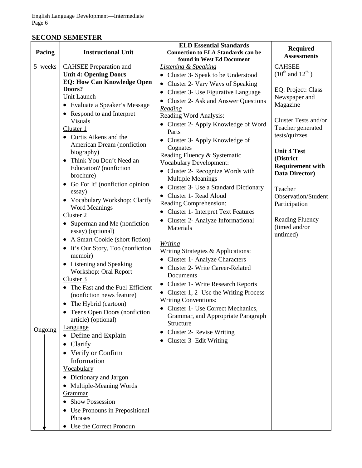# **SECOND SEMESTER**

| <b>Assessments</b><br>found in West Ed Document                                                                |  |
|----------------------------------------------------------------------------------------------------------------|--|
|                                                                                                                |  |
| <b>CAHSEE</b><br>5 weeks<br><b>CAHSEE</b> Preparation and<br><b>Listening &amp; Speaking</b>                   |  |
| $(10^{th}$ and $12^{th}$ )<br><b>Unit 4: Opening Doors</b><br>• Cluster 3- Speak to be Understood              |  |
| <b>EQ: How Can Knowledge Open</b><br>Cluster 2- Vary Ways of Speaking                                          |  |
| Doors?<br>EQ: Project: Class<br>• Cluster 3- Use Figurative Language                                           |  |
| Unit Launch<br>Newspaper and<br>• Cluster 2- Ask and Answer Questions                                          |  |
| Magazine<br>• Evaluate a Speaker's Message<br>Reading                                                          |  |
| • Respond to and Interpret<br>Reading Word Analysis:                                                           |  |
| Cluster Tests and/or<br><b>Visuals</b><br>• Cluster 2- Apply Knowledge of Word                                 |  |
| Teacher generated<br>Cluster 1<br>Parts                                                                        |  |
| tests/quizzes<br>• Curtis Aikens and the<br>• Cluster 3- Apply Knowledge of                                    |  |
| American Dream (nonfiction<br>Cognates                                                                         |  |
| <b>Unit 4 Test</b><br>biography)<br>Reading Fluency & Systematic                                               |  |
| (District<br>Think You Don't Need an<br>$\bullet$<br><b>Vocabulary Development:</b><br><b>Requirement with</b> |  |
| Education? (nonfiction<br>• Cluster 2- Recognize Words with<br>Data Director)                                  |  |
| brochure)<br><b>Multiple Meanings</b>                                                                          |  |
| Go For It! (nonfiction opinion<br>Cluster 3- Use a Standard Dictionary<br>$\bullet$<br>Teacher                 |  |
| essay)<br>• Cluster 1- Read Aloud<br><b>Observation/Student</b>                                                |  |
| • Vocabulary Workshop: Clarify<br>Reading Comprehension:<br>Participation                                      |  |
| <b>Word Meanings</b><br>Cluster 1- Interpret Text Features<br>$\bullet$                                        |  |
| Cluster 2<br><b>Reading Fluency</b><br>Cluster 2- Analyze Informational                                        |  |
| Superman and Me (nonfiction<br>$\bullet$<br>(timed and/or<br>Materials                                         |  |
| essay) (optional)<br>untimed)                                                                                  |  |
| A Smart Cookie (short fiction)<br><i>Writing</i>                                                               |  |
| It's Our Story, Too (nonfiction<br>$\bullet$<br>Writing Strategies & Applications:                             |  |
| memoir)<br>• Cluster 1- Analyze Characters                                                                     |  |
| • Listening and Speaking<br>• Cluster 2- Write Career-Related<br>Workshop: Oral Report                         |  |
| Documents<br>Cluster 3                                                                                         |  |
| <b>Cluster 1- Write Research Reports</b><br>The Fast and the Fuel-Efficient<br>$\bullet$                       |  |
| • Cluster 1, 2- Use the Writing Process<br>(nonfiction news feature)                                           |  |
| <b>Writing Conventions:</b><br>The Hybrid (cartoon)                                                            |  |
| Cluster 1- Use Correct Mechanics,<br>Teens Open Doors (nonfiction                                              |  |
| Grammar, and Appropriate Paragraph<br>article) (optional)                                                      |  |
| Structure<br><b>Language</b>                                                                                   |  |
| Ongoing<br>Cluster 2- Revise Writing<br>• Define and Explain                                                   |  |
| Cluster 3- Edit Writing<br>Clarify                                                                             |  |
| Verify or Confirm                                                                                              |  |
| Information                                                                                                    |  |
| Vocabulary                                                                                                     |  |
| • Dictionary and Jargon                                                                                        |  |
| Multiple-Meaning Words                                                                                         |  |
| Grammar                                                                                                        |  |
| <b>Show Possession</b>                                                                                         |  |
|                                                                                                                |  |
| Use Pronouns in Prepositional<br>Phrases                                                                       |  |
| Use the Correct Pronoun                                                                                        |  |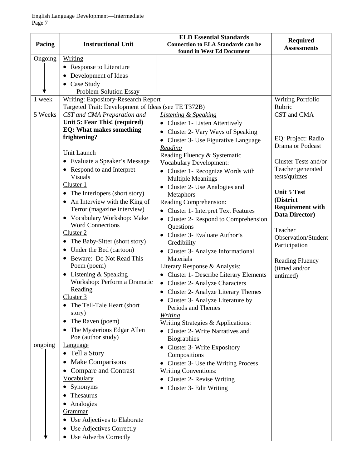| Pacing  | <b>Instructional Unit</b>                                                                  | <b>ELD Essential Standards</b><br><b>Connection to ELA Standards can be</b> | <b>Required</b><br><b>Assessments</b> |
|---------|--------------------------------------------------------------------------------------------|-----------------------------------------------------------------------------|---------------------------------------|
| Ongoing | Writing                                                                                    | found in West Ed Document                                                   |                                       |
|         |                                                                                            |                                                                             |                                       |
|         | • Response to Literature                                                                   |                                                                             |                                       |
|         | Development of Ideas<br>$\bullet$                                                          |                                                                             |                                       |
|         | • Case Study                                                                               |                                                                             |                                       |
| 1 week  | Problem-Solution Essay                                                                     |                                                                             |                                       |
|         | Writing: Expository-Research Report<br>Targeted Trait: Development of Ideas (see TE T372B) |                                                                             | <b>Writing Portfolio</b><br>Rubric    |
| 5 Weeks | CST and CMA Preparation and                                                                | <b>Listening &amp; Speaking</b>                                             | CST and CMA                           |
|         | Unit 5: Fear This! (required)                                                              | • Cluster 1- Listen Attentively                                             |                                       |
|         | <b>EQ: What makes something</b>                                                            | • Cluster 2- Vary Ways of Speaking                                          |                                       |
|         | frightening?                                                                               |                                                                             | EQ: Project: Radio                    |
|         |                                                                                            | • Cluster 3- Use Figurative Language                                        | Drama or Podcast                      |
|         | Unit Launch                                                                                | Reading<br>Reading Fluency & Systematic                                     |                                       |
|         | • Evaluate a Speaker's Message                                                             | <b>Vocabulary Development:</b>                                              | Cluster Tests and/or                  |
|         | • Respond to and Interpret                                                                 | • Cluster 1- Recognize Words with                                           | Teacher generated                     |
|         | <b>Visuals</b>                                                                             | <b>Multiple Meanings</b>                                                    | tests/quizzes                         |
|         | Cluster 1                                                                                  | Cluster 2- Use Analogies and                                                |                                       |
|         | • The Interlopers (short story)                                                            | Metaphors                                                                   | <b>Unit 5 Test</b>                    |
|         | An Interview with the King of                                                              | Reading Comprehension:                                                      | (District                             |
|         | Terror (magazine interview)                                                                | <b>Cluster 1- Interpret Text Features</b>                                   | <b>Requirement with</b>               |
|         | Vocabulary Workshop: Make<br>$\bullet$                                                     | • Cluster 2- Respond to Comprehension                                       | Data Director)                        |
|         | <b>Word Connections</b>                                                                    | Questions                                                                   | Teacher                               |
|         | Cluster 2                                                                                  | Cluster 3- Evaluate Author's<br>$\bullet$                                   | <b>Observation/Student</b>            |
|         | The Baby-Sitter (short story)<br>٠                                                         | Credibility                                                                 | Participation                         |
|         | Under the Bed (cartoon)<br>$\bullet$                                                       | • Cluster 3- Analyze Informational                                          |                                       |
|         | Beware: Do Not Read This<br>$\bullet$                                                      | Materials                                                                   | <b>Reading Fluency</b>                |
|         | Poem (poem)                                                                                | Literary Response & Analysis:                                               | (timed and/or                         |
|         | • Listening $&$ Speaking                                                                   | • Cluster 1- Describe Literary Elements                                     | untimed)                              |
|         | Workshop: Perform a Dramatic                                                               | • Cluster 2- Analyze Characters                                             |                                       |
|         | Reading                                                                                    | • Cluster 2- Analyze Literary Themes                                        |                                       |
|         | Cluster <sub>3</sub>                                                                       | • Cluster 3- Analyze Literature by                                          |                                       |
|         | The Tell-Tale Heart (short                                                                 | Periods and Themes                                                          |                                       |
|         | story)                                                                                     | <b>Writing</b>                                                              |                                       |
|         | The Raven (poem)                                                                           | Writing Strategies & Applications:                                          |                                       |
|         | The Mysterious Edgar Allen<br>٠                                                            | <b>Cluster 2- Write Narratives and</b>                                      |                                       |
|         | Poe (author study)                                                                         | <b>Biographies</b>                                                          |                                       |
| ongoing | <b>Language</b>                                                                            | Cluster 3- Write Expository                                                 |                                       |
|         | • Tell a Story                                                                             | Compositions                                                                |                                       |
|         | <b>Make Comparisons</b>                                                                    | Cluster 3- Use the Writing Process<br>$\bullet$                             |                                       |
|         | Compare and Contrast                                                                       | <b>Writing Conventions:</b>                                                 |                                       |
|         | <b>Vocabulary</b>                                                                          | Cluster 2- Revise Writing<br>$\bullet$                                      |                                       |
|         | Synonyms                                                                                   | Cluster 3- Edit Writing                                                     |                                       |
|         | Thesaurus                                                                                  |                                                                             |                                       |
|         | Analogies<br>$\bullet$                                                                     |                                                                             |                                       |
|         | <u>Grammar</u>                                                                             |                                                                             |                                       |
|         | • Use Adjectives to Elaborate                                                              |                                                                             |                                       |
|         | Use Adjectives Correctly                                                                   |                                                                             |                                       |
|         | Use Adverbs Correctly                                                                      |                                                                             |                                       |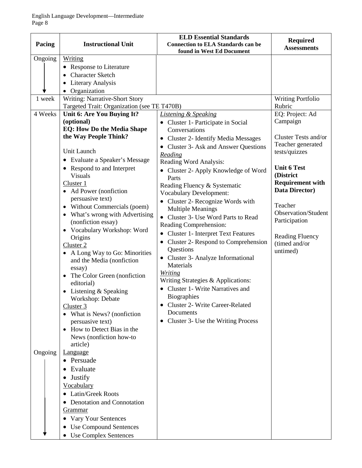| Pacing                       | <b>Instructional Unit</b>                                                                                                                                                                                                                                                                                                                                                                                                                                                                                                                                                                                                                                                                               | <b>ELD Essential Standards</b><br><b>Connection to ELA Standards can be</b><br>found in West Ed Document                                                                                                                                                                                                                                                                                                                                                                                                                                                                                                                                                                                                                                                                                                              | <b>Required</b><br><b>Assessments</b>                                                                                                                                                                                                                              |
|------------------------------|---------------------------------------------------------------------------------------------------------------------------------------------------------------------------------------------------------------------------------------------------------------------------------------------------------------------------------------------------------------------------------------------------------------------------------------------------------------------------------------------------------------------------------------------------------------------------------------------------------------------------------------------------------------------------------------------------------|-----------------------------------------------------------------------------------------------------------------------------------------------------------------------------------------------------------------------------------------------------------------------------------------------------------------------------------------------------------------------------------------------------------------------------------------------------------------------------------------------------------------------------------------------------------------------------------------------------------------------------------------------------------------------------------------------------------------------------------------------------------------------------------------------------------------------|--------------------------------------------------------------------------------------------------------------------------------------------------------------------------------------------------------------------------------------------------------------------|
| Ongoing<br>1 week<br>4 Weeks | <b>Writing</b><br><b>Response to Literature</b><br><b>Character Sketch</b><br><b>Literary Analysis</b><br>Organization<br><b>Writing: Narrative-Short Story</b><br>Targeted Trait: Organization (see TE T470B)<br>Unit 6: Are You Buying It?<br>(optional)                                                                                                                                                                                                                                                                                                                                                                                                                                              | <b>Listening &amp; Speaking</b>                                                                                                                                                                                                                                                                                                                                                                                                                                                                                                                                                                                                                                                                                                                                                                                       | <b>Writing Portfolio</b><br>Rubric<br>EQ: Project: Ad<br>Campaign                                                                                                                                                                                                  |
|                              | <b>EQ: How Do the Media Shape</b><br>the Way People Think?<br>Unit Launch<br>Evaluate a Speaker's Message<br>$\bullet$<br>Respond to and Interpret<br><b>Visuals</b><br>Cluster 1<br>Ad Power (nonfiction<br>persuasive text)<br>• Without Commercials (poem)<br>What's wrong with Advertising<br>$\bullet$<br>(nonfiction essay)<br>• Vocabulary Workshop: Word<br>Origins<br>Cluster 2<br>A Long Way to Go: Minorities<br>and the Media (nonfiction<br>essay)<br>The Color Green (nonfiction<br>editorial)<br>Listening & Speaking<br>$\bullet$<br>Workshop: Debate<br>Cluster 3<br>What is News? (nonfiction<br>persuasive text)<br>How to Detect Bias in the<br>News (nonfiction how-to<br>article) | • Cluster 1- Participate in Social<br>Conversations<br><b>Cluster 2- Identify Media Messages</b><br>Cluster 3- Ask and Answer Questions<br>$\bullet$<br>Reading<br>Reading Word Analysis:<br>• Cluster 2- Apply Knowledge of Word<br>Parts<br>Reading Fluency & Systematic<br><b>Vocabulary Development:</b><br>Cluster 2- Recognize Words with<br><b>Multiple Meanings</b><br>• Cluster 3- Use Word Parts to Read<br>Reading Comprehension:<br><b>Cluster 1- Interpret Text Features</b><br>Cluster 2- Respond to Comprehension<br>٠<br>Questions<br>• Cluster 3- Analyze Informational<br>Materials<br><b>Writing</b><br>Writing Strategies & Applications:<br>• Cluster 1- Write Narratives and<br>Biographies<br><b>Cluster 2- Write Career-Related</b><br>٠<br>Documents<br>• Cluster 3- Use the Writing Process | Cluster Tests and/or<br>Teacher generated<br>tests/quizzes<br><b>Unit 6 Test</b><br>(District<br><b>Requirement with</b><br><b>Data Director)</b><br>Teacher<br><b>Observation/Student</b><br>Participation<br><b>Reading Fluency</b><br>(timed and/or<br>untimed) |
| Ongoing                      | Language<br>• Persuade<br>Evaluate<br><b>Justify</b><br>Vocabulary<br><b>Latin/Greek Roots</b><br>Denotation and Connotation<br><u>Grammar</u><br>Vary Your Sentences<br>$\bullet$<br><b>Use Compound Sentences</b><br><b>Use Complex Sentences</b>                                                                                                                                                                                                                                                                                                                                                                                                                                                     |                                                                                                                                                                                                                                                                                                                                                                                                                                                                                                                                                                                                                                                                                                                                                                                                                       |                                                                                                                                                                                                                                                                    |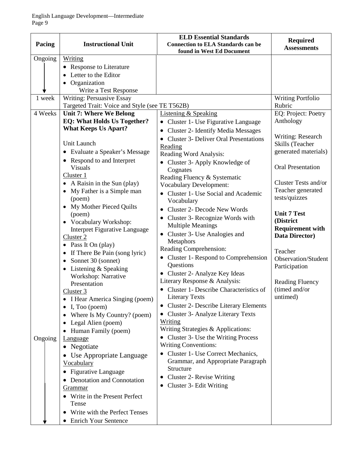| Pacing  | <b>Instructional Unit</b>                                                                                                                                                                                                                                                                                                                                                                                                                                                                                                                                                                                                                                                                                                                                                                                                                                                                  | <b>ELD Essential Standards</b><br><b>Connection to ELA Standards can be</b>                                                                                                                                                                                                                                                                                                                                                                                                                                                                                                                                                                                                                                                                                                                                                                                                         | <b>Required</b>                                                                                                                                                                                                                                                                  |
|---------|--------------------------------------------------------------------------------------------------------------------------------------------------------------------------------------------------------------------------------------------------------------------------------------------------------------------------------------------------------------------------------------------------------------------------------------------------------------------------------------------------------------------------------------------------------------------------------------------------------------------------------------------------------------------------------------------------------------------------------------------------------------------------------------------------------------------------------------------------------------------------------------------|-------------------------------------------------------------------------------------------------------------------------------------------------------------------------------------------------------------------------------------------------------------------------------------------------------------------------------------------------------------------------------------------------------------------------------------------------------------------------------------------------------------------------------------------------------------------------------------------------------------------------------------------------------------------------------------------------------------------------------------------------------------------------------------------------------------------------------------------------------------------------------------|----------------------------------------------------------------------------------------------------------------------------------------------------------------------------------------------------------------------------------------------------------------------------------|
|         |                                                                                                                                                                                                                                                                                                                                                                                                                                                                                                                                                                                                                                                                                                                                                                                                                                                                                            | found in West Ed Document                                                                                                                                                                                                                                                                                                                                                                                                                                                                                                                                                                                                                                                                                                                                                                                                                                                           | <b>Assessments</b>                                                                                                                                                                                                                                                               |
| Ongoing | Writing<br><b>Response to Literature</b><br>$\bullet$<br>Letter to the Editor<br>Organization<br>Write a Test Response                                                                                                                                                                                                                                                                                                                                                                                                                                                                                                                                                                                                                                                                                                                                                                     |                                                                                                                                                                                                                                                                                                                                                                                                                                                                                                                                                                                                                                                                                                                                                                                                                                                                                     |                                                                                                                                                                                                                                                                                  |
| 1 week  | Writing: Persuasive Essay                                                                                                                                                                                                                                                                                                                                                                                                                                                                                                                                                                                                                                                                                                                                                                                                                                                                  |                                                                                                                                                                                                                                                                                                                                                                                                                                                                                                                                                                                                                                                                                                                                                                                                                                                                                     | <b>Writing Portfolio</b>                                                                                                                                                                                                                                                         |
|         | Targeted Trait: Voice and Style (see TE T562B)                                                                                                                                                                                                                                                                                                                                                                                                                                                                                                                                                                                                                                                                                                                                                                                                                                             |                                                                                                                                                                                                                                                                                                                                                                                                                                                                                                                                                                                                                                                                                                                                                                                                                                                                                     | Rubric                                                                                                                                                                                                                                                                           |
| 4 Weeks | <b>Unit 7: Where We Belong</b>                                                                                                                                                                                                                                                                                                                                                                                                                                                                                                                                                                                                                                                                                                                                                                                                                                                             | <b>Listening &amp; Speaking</b>                                                                                                                                                                                                                                                                                                                                                                                                                                                                                                                                                                                                                                                                                                                                                                                                                                                     | EQ: Project: Poetry                                                                                                                                                                                                                                                              |
|         | <b>EQ: What Holds Us Together?</b><br><b>What Keeps Us Apart?</b>                                                                                                                                                                                                                                                                                                                                                                                                                                                                                                                                                                                                                                                                                                                                                                                                                          | • Cluster 1- Use Figurative Language                                                                                                                                                                                                                                                                                                                                                                                                                                                                                                                                                                                                                                                                                                                                                                                                                                                | Anthology                                                                                                                                                                                                                                                                        |
|         | Unit Launch<br>• Evaluate a Speaker's Message<br>Respond to and Interpret<br>$\bullet$                                                                                                                                                                                                                                                                                                                                                                                                                                                                                                                                                                                                                                                                                                                                                                                                     | <b>Cluster 2- Identify Media Messages</b><br><b>Cluster 3- Deliver Oral Presentations</b><br>Reading<br>Reading Word Analysis:<br>• Cluster 3- Apply Knowledge of                                                                                                                                                                                                                                                                                                                                                                                                                                                                                                                                                                                                                                                                                                                   | Writing: Research<br>Skills (Teacher<br>generated materials)                                                                                                                                                                                                                     |
| Ongoing | <b>Visuals</b><br>Cluster 1<br>A Raisin in the Sun (play)<br>My Father is a Simple man<br>$\bullet$<br>(poem)<br>My Mother Pieced Quilts<br>$\bullet$<br>(poem)<br>• Vocabulary Workshop:<br><b>Interpret Figurative Language</b><br>Cluster 2<br>• Pass It On (play)<br>If There Be Pain (song lyric)<br>$\bullet$<br>Sonnet 30 (sonnet)<br>$\bullet$<br>Listening & Speaking<br>$\bullet$<br>Workshop: Narrative<br>Presentation<br>Cluster 3<br>I Hear America Singing (poem)<br>I, Too (poem)<br>Where Is My Country? (poem)<br>Legal Alien (poem)<br>Human Family (poem)<br><b>Language</b><br>Negotiate<br>$\bullet$<br>Use Appropriate Language<br>Vocabulary<br><b>Figurative Language</b><br>Denotation and Connotation<br>$\bullet$<br><u>Grammar</u><br>Write in the Present Perfect<br>Tense<br>Write with the Perfect Tenses<br>$\bullet$<br><b>Enrich Your Sentence</b><br>٠ | Cognates<br>Reading Fluency & Systematic<br><b>Vocabulary Development:</b><br>• Cluster 1- Use Social and Academic<br>Vocabulary<br><b>Cluster 2- Decode New Words</b><br>Cluster 3- Recognize Words with<br><b>Multiple Meanings</b><br>Cluster 3- Use Analogies and<br>Metaphors<br>Reading Comprehension:<br>• Cluster 1- Respond to Comprehension<br>Questions<br>• Cluster 2- Analyze Key Ideas<br>Literary Response & Analysis:<br>• Cluster 1- Describe Characteristics of<br><b>Literary Texts</b><br>• Cluster 2- Describe Literary Elements<br>• Cluster 3- Analyze Literary Texts<br>Writing<br>Writing Strategies & Applications:<br>• Cluster 3- Use the Writing Process<br><b>Writing Conventions:</b><br>• Cluster 1- Use Correct Mechanics,<br>Grammar, and Appropriate Paragraph<br>Structure<br>Cluster 2- Revise Writing<br>$\bullet$<br>Cluster 3- Edit Writing | <b>Oral Presentation</b><br>Cluster Tests and/or<br>Teacher generated<br>tests/quizzes<br><b>Unit 7 Test</b><br>(District<br><b>Requirement with</b><br>Data Director)<br>Teacher<br>Observation/Student<br>Participation<br><b>Reading Fluency</b><br>(timed and/or<br>untimed) |